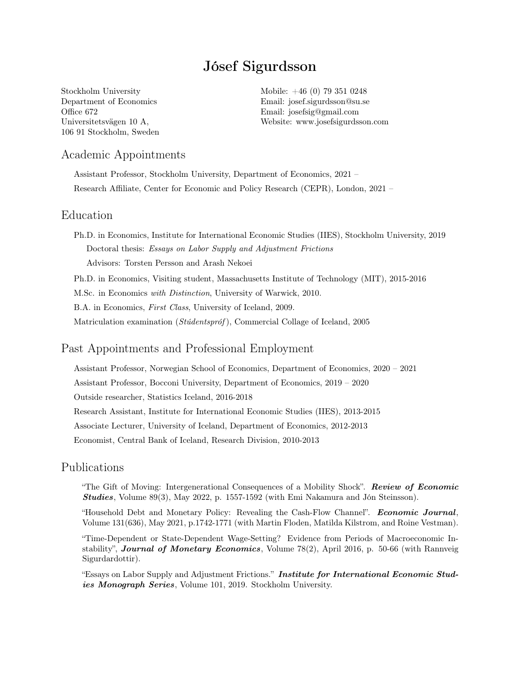# Jósef Sigurdsson

Stockholm University Department of Economics Office 672 Universitetsvägen 10 A, 106 91 Stockholm, Sweden Mobile: +46 (0) 79 351 0248 Email: [josef.sigurdsson@su.se](mailto:josef.sigurdsson@nhh.no) Email: [josefsig@gmail.com](mailto:josefsig@gmail.com) Website: [www.josefsigurdsson.com](http://www.josefsigurdsson.com)

# Academic Appointments

Assistant Professor, Stockholm University, Department of Economics, 2021 – Research Affiliate, Center for Economic and Policy Research (CEPR), London, 2021 –

#### Education

Ph.D. in Economics, Institute for International Economic Studies (IIES), Stockholm University, 2019 Doctoral thesis: Essays on Labor Supply and Adjustment Frictions Advisors: Torsten Persson and Arash Nekoei

Ph.D. in Economics, Visiting student, Massachusetts Institute of Technology (MIT), 2015-2016

M.Sc. in Economics with Distinction, University of Warwick, 2010.

B.A. in Economics, First Class, University of Iceland, 2009.

Matriculation examination (Stúdentspróf), Commercial Collage of Iceland, 2005

#### Past Appointments and Professional Employment

Assistant Professor, Norwegian School of Economics, Department of Economics, 2020 – 2021 Assistant Professor, Bocconi University, Department of Economics, 2019 – 2020 Outside researcher, Statistics Iceland, 2016-2018 Research Assistant, Institute for International Economic Studies (IIES), 2013-2015 Associate Lecturer, University of Iceland, Department of Economics, 2012-2013 Economist, Central Bank of Iceland, Research Division, 2010-2013

# Publications

"The Gift of Moving: Intergenerational Consequences of a Mobility Shock". Review of Economic Studies, Volume 89(3), May 2022, p. 1557-1592 (with Emi Nakamura and Jón Steinsson).

"Household Debt and Monetary Policy: Revealing the Cash-Flow Channel". Economic Journal, Volume 131(636), May 2021, p.1742-1771 (with Martin Floden, Matilda Kilstrom, and Roine Vestman).

"Time-Dependent or State-Dependent Wage-Setting? Evidence from Periods of Macroeconomic Instability", Journal of Monetary Economics, Volume 78(2), April 2016, p. 50-66 (with Rannveig Sigurdardottir).

"Essays on Labor Supply and Adjustment Frictions." Institute for International Economic Studies Monograph Series, Volume 101, 2019. Stockholm University.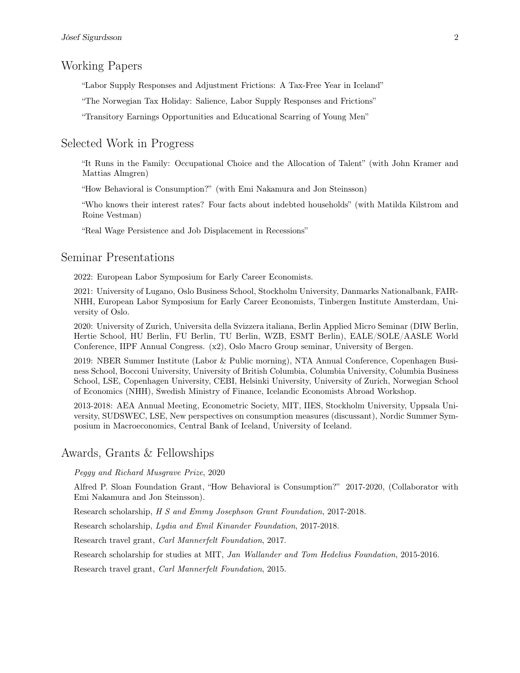# Working Papers

"Labor Supply Responses and Adjustment Frictions: A Tax-Free Year in Iceland"

"The Norwegian Tax Holiday: Salience, Labor Supply Responses and Frictions"

"Transitory Earnings Opportunities and Educational Scarring of Young Men"

#### Selected Work in Progress

"It Runs in the Family: Occupational Choice and the Allocation of Talent" (with John Kramer and Mattias Almgren)

"How Behavioral is Consumption?" (with Emi Nakamura and Jon Steinsson)

"Who knows their interest rates? Four facts about indebted households" (with Matilda Kilstrom and Roine Vestman)

"Real Wage Persistence and Job Displacement in Recessions"

# Seminar Presentations

2022: European Labor Symposium for Early Career Economists.

2021: University of Lugano, Oslo Business School, Stockholm University, Danmarks Nationalbank, FAIR-NHH, European Labor Symposium for Early Career Economists, Tinbergen Institute Amsterdam, University of Oslo.

2020: University of Zurich, Universita della Svizzera italiana, Berlin Applied Micro Seminar (DIW Berlin, Hertie School, HU Berlin, FU Berlin, TU Berlin, WZB, ESMT Berlin), EALE/SOLE/AASLE World Conference, IIPF Annual Congress. (x2), Oslo Macro Group seminar, University of Bergen.

2019: NBER Summer Institute (Labor & Public morning), NTA Annual Conference, Copenhagen Business School, Bocconi University, University of British Columbia, Columbia University, Columbia Business School, LSE, Copenhagen University, CEBI, Helsinki University, University of Zurich, Norwegian School of Economics (NHH), Swedish Ministry of Finance, Icelandic Economists Abroad Workshop.

2013-2018: AEA Annual Meeting, Econometric Society, MIT, IIES, Stockholm University, Uppsala University, SUDSWEC, LSE, New perspectives on consumption measures (discussant), Nordic Summer Symposium in Macroeconomics, Central Bank of Iceland, University of Iceland.

#### Awards, Grants & Fellowships

Peggy and Richard Musgrave Prize, 2020

Alfred P. Sloan Foundation Grant, "How Behavioral is Consumption?" 2017-2020, (Collaborator with Emi Nakamura and Jon Steinsson).

Research scholarship, H S and Emmy Josephson Grant Foundation, 2017-2018.

Research scholarship, Lydia and Emil Kinander Foundation, 2017-2018.

Research travel grant, Carl Mannerfelt Foundation, 2017.

Research scholarship for studies at MIT, Jan Wallander and Tom Hedelius Foundation, 2015-2016.

Research travel grant, Carl Mannerfelt Foundation, 2015.